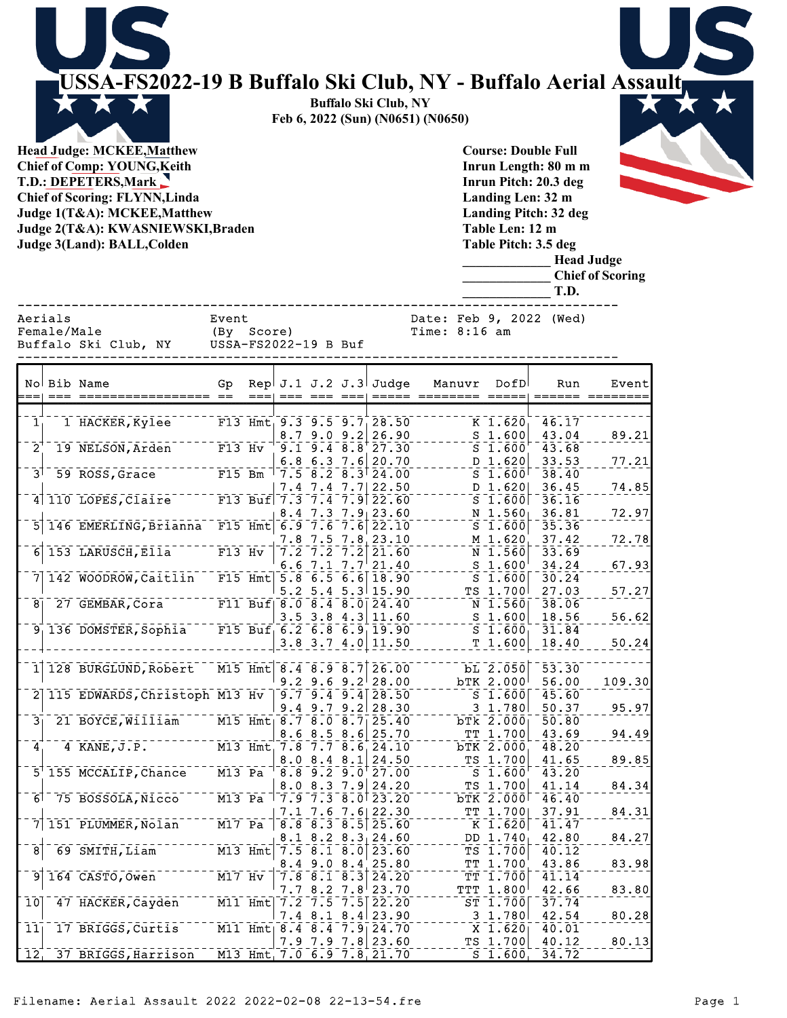**USSA-FS2022-19 B Buffalo Ski Club, NY - Buffalo Aerial Assault Buffalo Ski Club, NY Feb 6, 2022 (Sun) (N0651) (N0650) Head Judge: MCKEE,Matthew Course: Double Full**

**Chief of Comp: YOUNG,Keith T.D.: DEPETERS,Mark Chief of Scoring: FLYNN,Linda Judge 1(T&A): MCKEE,Matthew Judge 2(T&A): KWASNIEWSKI,Braden Judge 3(Land): BALL,Colden** 

**Inrun Length: 80 m m Inrun Pitch: 20.3 deg Landing Len: 32 m Landing Pitch: 32 deg Table Len: 12 m Table Pitch: 3.5 deg**

> **\_\_\_\_\_\_\_\_\_\_\_\_\_ Head Judge \_\_\_\_\_\_\_\_\_\_\_\_\_ Chief of Scoring \_\_\_\_\_\_\_\_\_\_\_\_\_ T.D.**

Buffalo Ski Club, NY

Aerials Event Event Date: Feb 9, 2022 (Wed)

------------------------------------------------------------------------------

|                      |                      | ------------- |
|----------------------|----------------------|---------------|
| Female/Male          | (By Score)           | Time: 8:16 am |
| Buffalo Ski Club, NY | USSA-FS2022-19 B Buf |               |

|                            | No Bib Name                                          | Gp                               |                     |                                                                                     |               | Rep $J.1 J.2 J.3$ Judge                                                                     | Manuvr | DofD                                                      | Run            | Event<br>====== ======== |
|----------------------------|------------------------------------------------------|----------------------------------|---------------------|-------------------------------------------------------------------------------------|---------------|---------------------------------------------------------------------------------------------|--------|-----------------------------------------------------------|----------------|--------------------------|
|                            |                                                      |                                  |                     |                                                                                     |               |                                                                                             |        |                                                           |                |                          |
| $\mathbf{1}^{\mathbf{-}}$  | I HACKER, Kylee                                      |                                  |                     |                                                                                     |               | F13 Hmt $9.3$ $9.5$ $9.7$ $28.50$                                                           |        | $\overline{K}$ 1.620                                      | 46.17          |                          |
| $\bar{2}^{\dagger}$        | 19 NELSON, Arden                                     | $F13$ Hv                         |                     | 8.7 9.0 9.2<br>$\overline{9.1}$ $\overline{9.4}$ $\overline{8.8}$ $\overline{8}$    |               | 26.90<br>27.30                                                                              |        | S <sub>1.600</sub><br>$S^{\text{-}}\overline{1}\cdot 600$ | 43.04<br>43.68 | 89.21                    |
|                            |                                                      |                                  |                     | $6.8$ $6.3$ $7.6$                                                                   |               | 20.70                                                                                       |        | D 1.620                                                   | 33.53          | 77.21                    |
| $\bar{3}^{\dagger}$        | $59$ $\overline{ROS}$ , $\overline{Grace}$           | $F15$ Bm                         |                     |                                                                                     |               | $17.5 - 8.2 - 8.3$ $24.00$                                                                  |        | $S_1.600$                                                 | 38.40          |                          |
|                            |                                                      |                                  | 7.4                 |                                                                                     |               | $7.4$ $7.7$ 22.50                                                                           |        | D 1.620                                                   | 36.45          | 74.85                    |
|                            | $4 110$ LOPES, Claire F13 Buf 7.3 7.4 7.9 $22.60$    |                                  |                     |                                                                                     |               |                                                                                             |        | $S_1.600$                                                 | 36.16          |                          |
|                            |                                                      |                                  | 8.4                 | 7.3                                                                                 |               | $7.9$ 23.60                                                                                 |        | N 1.560                                                   | 36.81          | 72.97                    |
|                            | 5 146 EMERLING, Brianna <sup>-</sup>                 |                                  | F15 Hmt $6.97.67.6$ |                                                                                     |               | 22.10                                                                                       |        | $S_1.600$                                                 | 35.36          |                          |
|                            |                                                      |                                  | 7.8                 | 7.5                                                                                 |               | $7.8$ 23.10                                                                                 |        | M 1.620                                                   | 37.42          | 72.78                    |
|                            | $6$ 153 LARUSCH, Ella                                | $F13$ Hv                         |                     | $7.2 - 7.2 - 7.2$                                                                   |               | 21.60                                                                                       |        | $\bar{N}$ 1.560                                           | 33.69          |                          |
|                            |                                                      |                                  |                     | 6.6 7.1 7.7                                                                         |               | 21.40                                                                                       |        | S <sub>1.600</sub>                                        | 34.24          | 67.93                    |
| 7 <sup>1</sup>             | 142 WOODROW, Caitlin F15 Hmt 5.8 6.5 6.6 18.90       |                                  |                     |                                                                                     |               |                                                                                             |        | S <sub>1.600</sub>                                        | 30.24          |                          |
|                            |                                                      |                                  |                     |                                                                                     |               | $5.2$ 5.4 5.3 15.90                                                                         |        | TS 1.700                                                  | 27.03          | 57.27                    |
| $\bar{8}$                  | 27 GEMBAR, Cora F11 Buf 8.0 8.4 8.0 24.40            |                                  |                     |                                                                                     |               |                                                                                             |        | $\bar{\texttt{N}}$ 1.560                                  | 38.06          |                          |
|                            |                                                      |                                  |                     |                                                                                     |               | $3.5$ $3.8$ $4.3$ 11.60                                                                     |        | S <sub>1.600</sub>                                        | 18.56          | 56.62                    |
|                            | $91$ 136 DOMSTER, Sophia                             |                                  |                     |                                                                                     |               | F15 Buf $6.2$ $6.8$ $6.9$ $19.90$                                                           |        | S <sub>1.600</sub><br>T1.600                              | 31.84          |                          |
|                            |                                                      |                                  |                     |                                                                                     |               | $3.8$ $3.7$ $4.0$ 11.50                                                                     |        |                                                           | 18.40          | 50.24                    |
|                            | 1 128 BURGLUND, Robert                               |                                  |                     |                                                                                     |               | M15 Hmt 8.4 8.9 8.7 26.00                                                                   |        | bL 2.050                                                  | 53.30          |                          |
|                            |                                                      |                                  |                     | $9.2$ 9.6 9.2                                                                       |               | 28.00                                                                                       |        | bTK 2.000                                                 | 56.00          | 109.30                   |
|                            | 2 115 EDWARDS, Christoph M13 Hv                      |                                  |                     |                                                                                     |               | $\sqrt{9.7}$ $\sqrt{9.4}$ $\sqrt{9.4}$ $\sqrt{28.50}$                                       |        | $\overline{\text{s}}$ $\overline{\text{1.600}}$           | 45.60          |                          |
|                            |                                                      |                                  |                     | $9.4$ $9.7$                                                                         | 9.2           | 28.30                                                                                       |        | 3 1.780                                                   | 50.37          | 95.97                    |
| $\overline{3_1}$           | 21 BOYCE, William                                    |                                  |                     |                                                                                     |               | M15 Hmt 8.7 8.0 8.7 25.40                                                                   |        | bTk 2.000                                                 | 50.80          |                          |
|                            |                                                      |                                  | 8.6                 | 8.5                                                                                 | 8.6           | 25.70                                                                                       |        | TT 1.700                                                  | 43.69          | 94.49                    |
| $\mathbf{A}^{\dagger}$     | 4 KANE, J.P. $M13 Hmt$ , $7.8 - 7.7 - 8.6$ , $24.10$ |                                  |                     |                                                                                     |               |                                                                                             |        | bTK 2.000                                                 | 48.20          |                          |
|                            |                                                      |                                  |                     | $8.0$ $8.4$ $8.1$                                                                   |               | 24.50                                                                                       |        | TS 1.700                                                  | 41.65          | 89.85                    |
|                            | 5 155 MCCALIP, Chance M13 Pa                         |                                  |                     |                                                                                     |               | $8.8 - 9.2 - 9.0 + 27.00$                                                                   |        | S <sub>1.600</sub>                                        | 43.20          |                          |
|                            |                                                      |                                  |                     | $8.0$ $8.3$ $7.9$                                                                   |               | 24.20                                                                                       |        | TS 1.700                                                  | 41.14          | 84.34                    |
| آ6                         | 75 BOSSOLA, Nicco                                    | $\overline{M13}$ Pa              |                     |                                                                                     |               | $\bar{7}.\bar{9}$ $\bar{7}.\bar{3}$ $\bar{8}.\bar{0}$ $\bar{2}3.\bar{2}0$                   |        | $b$ TK $2.000$                                            | 46.40          |                          |
|                            |                                                      |                                  |                     |                                                                                     |               | 7.1 7.6 7.6 22.30                                                                           |        | TT 1.700                                                  | 37.91          | 84.31                    |
| 71                         | 151 PLUMMER, Nolan                                   | $M17$ Pa                         |                     |                                                                                     |               | $\overline{8.8}$ $\overline{8.3}$ $\overline{8.5}$ $\overline{25.60}$                       |        | $K^{\overline{1.620}}$                                    | 41.47          |                          |
| $\overline{8}$             | $69$ SMITH, Liam                                     |                                  |                     |                                                                                     |               | $8.1$ $8.2$ $8.3$ $24.60$<br>23.60                                                          |        | DD 1.740<br>$\bar{\texttt{TS}}$ 1.700                     | 42.80          | 84.27                    |
|                            |                                                      |                                  | M13 Hmt 7.5 8.1 8.0 |                                                                                     |               | 25.80                                                                                       |        | TT 1.700                                                  | 40.12<br>43.86 |                          |
|                            | $9$ 164 CASTO, Owen                                  | $\overline{M17}$ $\overline{Hv}$ |                     | $8.4$ 9.0 $8.4$<br>$\left[7.\bar{8}^\mathrm{-}8.\bar{1}^\mathrm{-}8.\bar{3}\right]$ |               | 24.20                                                                                       |        | TT 1.700                                                  | 41.14          | 83.98                    |
|                            |                                                      |                                  |                     | 7.78.2                                                                              | $7.8^{\circ}$ | 23.70                                                                                       |        | TTT 1.800                                                 | 42.66          | 83.80                    |
| $\overline{10}$            | 47 HACKER, Cayden <sup>----</sup> M11 Hmt            |                                  |                     |                                                                                     |               | $\bar{7}.\bar{2}$ $\bar{7}.\bar{5}$ $\bar{7}.\bar{5}$ $\bar{2}$ $\bar{2}.\bar{2}$ $\bar{0}$ |        | $ST_1.700$                                                | 37.74          |                          |
|                            |                                                      |                                  |                     |                                                                                     |               | $7.4$ 8.1 8.4 23.90                                                                         |        | 3 1.780                                                   | 42.54          | 80.28                    |
| 11                         | 17 BRIGGS, Curtis                                    |                                  |                     |                                                                                     |               | M11 Hmt   8.4 8.4 7.9 24.70                                                                 |        | $\overline{x}$ 1.620                                      | 40.01          |                          |
|                            |                                                      |                                  |                     |                                                                                     |               | 7.9 7.9 7.8 23.60                                                                           |        | TS 1.700                                                  | 40.12          | 80.13                    |
| $\overline{1}\overline{2}$ | 37 BRIGGS, Harrison                                  |                                  |                     |                                                                                     |               | M13 Hmt 7.0 6.9 7.8 21.70                                                                   |        | $\overline{\text{s}}$ $\overline{\text{1.600}}$           | 34.72          |                          |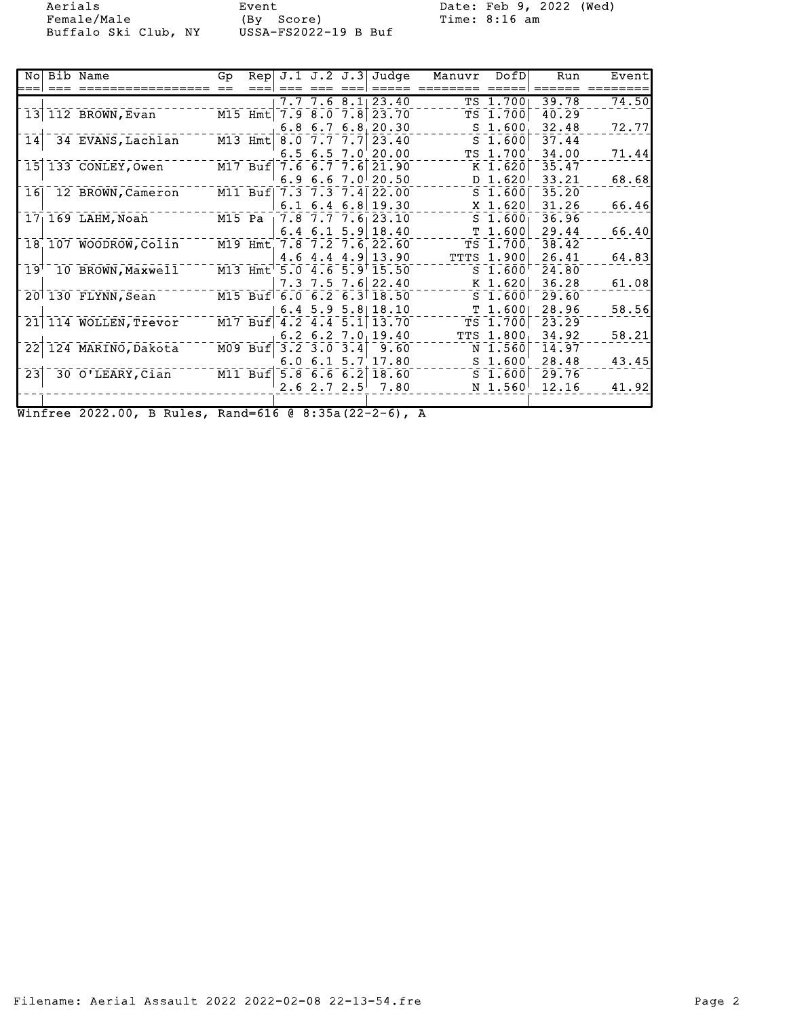Female/Male (By Score) Time: 8:16 am Buffalo Ski Club, NY USSA-FS2022-19 B Buf

Aerials Event Event Date: Feb 9, 2022 (Wed)

| === | No Bib Name                       | Gp |           |                     |             | Rep J.1 J.2 J.3 Judge             | Manuvr DofD |                     | Run   | Event |
|-----|-----------------------------------|----|-----------|---------------------|-------------|-----------------------------------|-------------|---------------------|-------|-------|
|     |                                   |    |           |                     |             | $7.7$ 7.6 8.1 23.40               |             | TS 1.700            | 39.78 | 74.50 |
|     | 13 112 BROWN, Evan                |    |           |                     |             | M15 Hmt 7.9 8.0 7.8 23.70         |             | TS 1.700            | 40.29 |       |
|     |                                   |    |           |                     | $6.8\;6.7$  | 6.8, 20.30                        |             | S <sub>1.600</sub>  | 32.48 | 72.77 |
|     | 14 34 EVANS, Lachlan              |    |           | M13 Hmt 8.0 7.7 7.7 |             | 23.40                             |             | $S$ 1.600           | 37.44 |       |
|     |                                   |    |           |                     |             | $6.5$ $6.5$ $7.0$ $20.00$         |             | TS 1.700            | 34.00 | 71.44 |
|     | 15 133 CONLEY, Owen               |    |           |                     |             | M17 Buf 7.6 6.7 7.6 21.90         |             | K 1.620             | 35.47 |       |
|     |                                   |    |           |                     |             | 6.9 6.6 7.0 $20.50$               |             | D 1.620             | 33.21 | 68.68 |
| 16  | 12 BROWN, Cameron                 |    | $M11$ Buf |                     |             | 7.3 7.3 7.4 22.00                 |             | $S$ 1.600           | 35.20 |       |
|     |                                   |    |           |                     |             | $6.1\ \ 6.4\ \ 6.8\ \ 19.30$      |             | $X$ 1.620           | 31.26 | 66.46 |
|     | $171169$ LAHM, Noah               |    |           |                     |             | M15 Pa $\sqrt{7.8}$ 7.7 7.6 23.10 |             | $S$ 1.600           | 36.96 |       |
|     |                                   |    |           |                     |             | $6.4$ 6.1 5.9 18.40               |             | T 1.600             | 29.44 | 66.40 |
|     | 18 107 WOODROW, Colin             |    |           |                     |             | M19 Hmt 7.8 7.2 7.6 22.60         |             | TS 1.700            | 38.42 |       |
|     |                                   |    |           |                     |             | $4.6$ $4.4$ $4.9$ 13.90           |             | <b>TTTS 1.900</b>   | 26.41 | 64.83 |
|     | 19 <sup>1</sup> 10 BROWN, Maxwell |    |           |                     |             | M13 Hmt 5.0 4.6 5.9 15.50         |             | $S$ 1.600           | 24.80 |       |
|     |                                   |    |           |                     | $7.3 \t7.5$ | $7.6$ 22.40                       |             | $K$ 1.620           | 36.28 | 61.08 |
|     | 20 130 FLYNN, Sean                |    |           |                     |             | M15 Buf 6.0 6.2 6.3 18.50         |             | $S$ 1.600           | 29.60 |       |
|     |                                   |    |           |                     |             | $6.4$ 5.9 5.8 18.10               |             | T 1.6001            | 28.96 | 58.56 |
|     | 21 114 WOLLEN, Trevor             |    |           |                     |             | M17 Buf 4.2 4.4 5.1 13.70         |             | TS 1.700            | 23.29 |       |
|     |                                   |    |           |                     |             | $6.2$ 6.2 7.0 19.40               |             | TTS 1.800           | 34.92 | 58.21 |
|     | 22 124 MARINO, Dakota             |    |           | M09 Buf 3.2 3.0 3.4 |             | 9.60                              |             | N 1.560             | 14.97 |       |
|     |                                   |    |           |                     |             | $6.0 \t6.1 \t5.7 \t17.80$         |             | S <sub>1.600'</sub> | 28.48 | 43.45 |
| 23  | 30 O'LEARY, Cian                  |    | $M11$ Buf |                     |             | $5.8$ 6.6 6.2 18.60               |             | $S$ 1.600           | 29.76 |       |
|     |                                   |    |           |                     |             | $2.6$ $2.7$ $2.5$ $7.80$          |             | N 1.560             | 12.16 | 41.92 |
|     |                                   |    |           |                     |             |                                   |             |                     |       |       |

Winfree 2022.00, B Rules, Rand=616 @ 8:35a(22-2-6), A